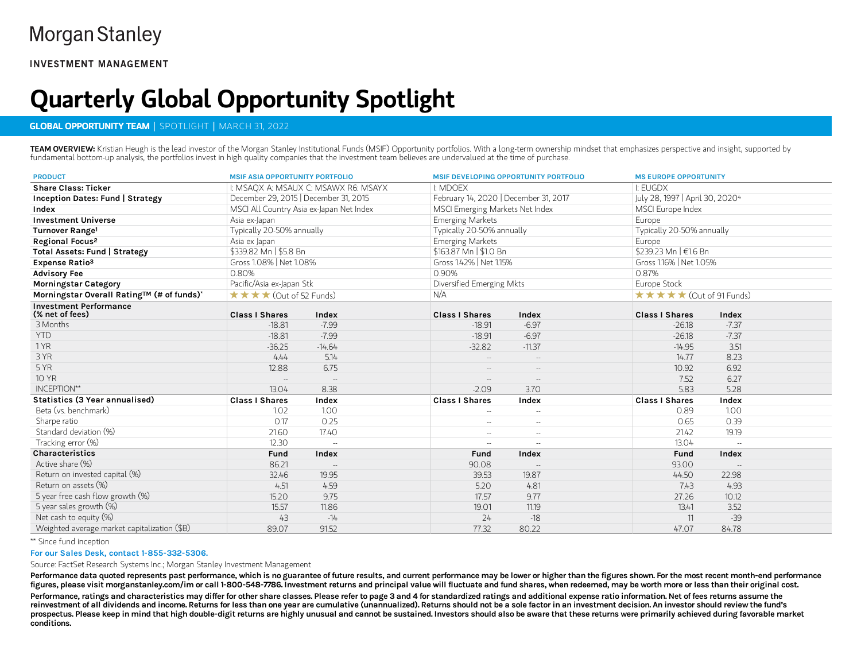**INVESTMENT MANAGEMENT** 

# Quarterly Global Opportunity Spotlight

## GLOBAL OPPORTUNITY TEAM | SPOTLIGHT | MARCH 31, 2022

TEAM OVERVIEW: Kristian Heugh is the lead investor of the Morgan Stanley Institutional Funds (MSIF) Opportunity portfolios. With a long-term ownership mindset that emphasizes perspective and insight, supported by fundamental bottom-up analysis, the portfolios invest in high quality companies that the investment team believes are undervalued at the time of purchase.

| <b>PRODUCT</b>                                   | <b>MSIF ASIA OPPORTUNITY PORTFOLIO</b>      |                          | <b>MSIF DEVELOPING OPPORTUNITY PORTFOLIO</b> |                          | <b>MS EUROPE OPPORTUNITY</b>    |         |
|--------------------------------------------------|---------------------------------------------|--------------------------|----------------------------------------------|--------------------------|---------------------------------|---------|
| <b>Share Class: Ticker</b>                       | I: MSAQX A: MSAUX C: MSAWX R6: MSAYX        |                          | <b>L: MDOFX</b>                              |                          | <b>I: FUGDX</b>                 |         |
| <b>Inception Dates: Fund   Strategy</b>          | December 29, 2015   December 31, 2015       |                          | February 14, 2020   December 31, 2017        |                          | July 28, 1997   April 30, 20204 |         |
| Index                                            | MSCI All Country Asia ex-Japan Net Index    |                          | MSCI Emerging Markets Net Index              |                          | MSCI Europe Index               |         |
| <b>Investment Universe</b>                       | Asia ex-Japan                               |                          | <b>Emerging Markets</b>                      |                          | Europe                          |         |
| Turnover Range <sup>1</sup>                      | Typically 20-50% annually                   |                          | Typically 20-50% annually                    |                          | Typically 20-50% annually       |         |
| Regional Focus <sup>2</sup>                      | Asia ex Japan                               |                          | <b>Emerging Markets</b>                      |                          | Europe                          |         |
| Total Assets: Fund   Strategy                    | \$339.82 Mn   \$5.8 Bn                      |                          | \$163.87 Mn   \$1.0 Bn                       |                          | \$239.23 Mn   €1.6 Bn           |         |
| Expense Ratio <sup>3</sup>                       | Gross 1.08%   Net 1.08%                     |                          | Gross 1.42%   Net 1.15%                      |                          | Gross 1.16%   Net 1.05%         |         |
| <b>Advisory Fee</b>                              | 0.80%                                       |                          | 0.90%                                        |                          | 0.87%                           |         |
| <b>Morningstar Category</b>                      | Pacific/Asia ex-Japan Stk                   |                          | Diversified Emerging Mkts                    |                          | Europe Stock                    |         |
| Morningstar Overall Rating™ (# of funds)*        | $\star \star \star \star$ (Out of 52 Funds) |                          | N/A                                          |                          | ★★★★★ (Out of 91 Funds)         |         |
| <b>Investment Performance</b><br>(% net of fees) | <b>Class I Shares</b>                       | Index                    | <b>Class I Shares</b>                        | Index                    | <b>Class I Shares</b>           | Index   |
| 3 Months                                         | $-18.81$                                    | $-7.99$                  | $-18.91$                                     | $-6.97$                  | $-26.18$                        | $-7.37$ |
| <b>YTD</b>                                       | $-18.81$                                    | $-7.99$                  | $-18.91$                                     | $-6.97$                  | $-26.18$                        | $-7.37$ |
| 1 YR                                             | $-36.25$                                    | $-14.64$                 | $-32.82$                                     | $-11.37$                 | $-14.95$                        | 3.51    |
| 3 YR                                             | 4.44                                        | 5.14                     |                                              | $\sim$                   | 14.77                           | 8.23    |
| 5 YR                                             | 12.88                                       | 6.75                     | $\overline{\phantom{a}}$                     | $\overline{\phantom{a}}$ | 10.92                           | 6.92    |
| <b>10 YR</b>                                     |                                             | $\overline{\phantom{a}}$ | $\overline{\phantom{a}}$                     | $\overline{\phantom{a}}$ | 7.52                            | 6.27    |
| INCEPTION**                                      | 13.04                                       | 8.38                     | $-2.09$                                      | 3.70                     | 5.83                            | 5.28    |
| Statistics (3 Year annualised)                   | <b>Class I Shares</b>                       | Index                    | <b>Class I Shares</b>                        | Index                    | <b>Class I Shares</b>           | Index   |
| Beta (vs. benchmark)                             | 1.02                                        | 1.00                     | $\overline{\phantom{a}}$                     | $\sim$                   | 0.89                            | 1.00    |
| Sharpe ratio                                     | 0.17                                        | 0.25                     | $\overline{\phantom{a}}$                     | $\sim$                   | 0.65                            | 0.39    |
| Standard deviation (%)                           | 21.60                                       | 17.40                    | $\sim$                                       | $\sim$                   | 21.42                           | 19.19   |
| Tracking error (%)                               | 12.30                                       | $\sim$                   | $\sim$ $-$                                   | $\sim$ $-$               | 13.04                           |         |
| <b>Characteristics</b>                           | Fund                                        | Index                    | Fund                                         | Index                    | Fund                            | Index   |
| Active share (%)                                 | 86.21                                       | $\sim$                   | 90.08                                        | $\overline{\phantom{a}}$ | 93.00                           | $\sim$  |
| Return on invested capital (%)                   | 32.46                                       | 19.95                    | 39.53                                        | 19.87                    | 44.50                           | 22.98   |
| Return on assets (%)                             | 4.51                                        | 4.59                     | 5.20                                         | 4.81                     | 7.43                            | 4.93    |
| 5 year free cash flow growth (%)                 | 15.20                                       | 9.75                     | 17.57                                        | 9.77                     | 27.26                           | 10.12   |
| 5 year sales growth (%)                          | 15.57                                       | 11.86                    | 19.01                                        | 11.19                    | 13.41                           | 3.52    |
| Net cash to equity (%)                           | 43                                          | $-14$                    | 24                                           | $-18$                    | 11                              | $-39$   |
| Weighted average market capitalization (\$B)     | 89.07                                       | 91.52                    | 77.32                                        | 80.22                    | 47.07                           | 84.78   |

Since fund inception \*\*

#### For our Sales Desk, contact 1-855-332-5306.

Source: FactSet Research Systems Inc.; Morgan Stanley Investment Management

Performance data quoted represents past performance, which is no guarantee of future results, and current performance may be lower or higher than the figures shown. For the most recent month-end performance figures, please visit morganstanley.com/im or call 1-800-548-7786. Investment returns and principal value will fluctuate and fund shares, when redeemed, may be worth more or less than their original cost. Performance, ratings and characteristics may differ for other share classes. Please refer to page 3 and 4 for standardized ratings and additional expense ratio information. Net of fees returns assume the reinvestment of all dividends and income. Returns for less than one year are cumulative (unannualized). Returns should not be a sole factor in an investment decision. An investor should review the fund's prospectus. Please keep in mind that high double-digit returns are highly unusual and cannot be sustained. Investors should also be aware that these returns were primarily achieved during favorable market conditions.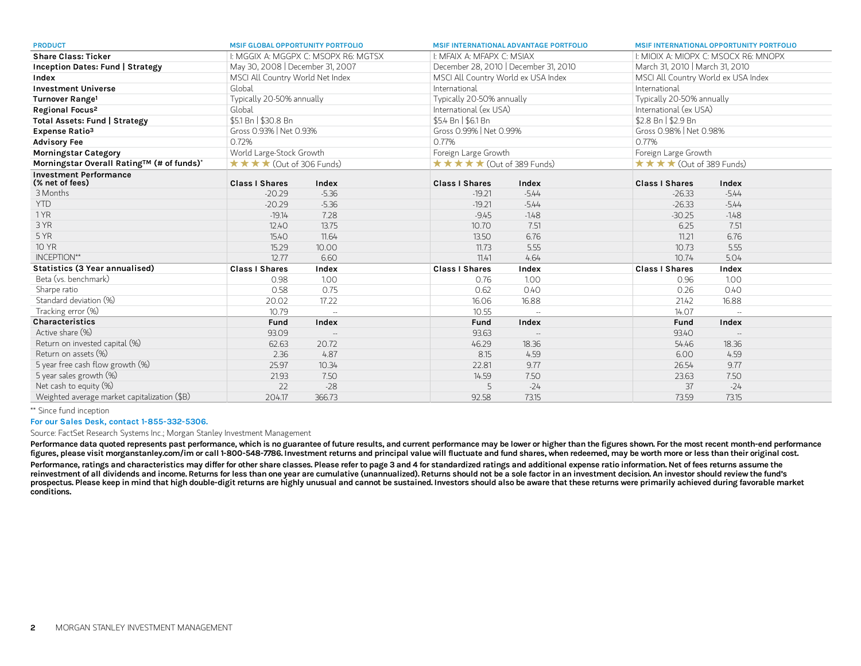| <b>PRODUCT</b>                                   | <b>MSIF GLOBAL OPPORTUNITY PORTFOLIO</b>     |                          |                                                    | <b>MSIF INTERNATIONAL ADVANTAGE PORTFOLIO</b> |                                      | <b>MSIF INTERNATIONAL OPPORTUNITY PORTFOLIO</b> |  |
|--------------------------------------------------|----------------------------------------------|--------------------------|----------------------------------------------------|-----------------------------------------------|--------------------------------------|-------------------------------------------------|--|
| <b>Share Class: Ticker</b>                       | I: MGGIX A: MGGPX C: MSOPX R6: MGTSX         |                          | I: MFAIX A: MFAPX C: MSIAX                         |                                               | I: MIOIX A: MIOPX C: MSOCX R6: MNOPX |                                                 |  |
| <b>Inception Dates: Fund   Strategy</b>          | May 30, 2008   December 31, 2007             |                          | December 28, 2010   December 31, 2010              |                                               | March 31, 2010   March 31, 2010      |                                                 |  |
| Index                                            | MSCI All Country World Net Index             |                          | MSCI All Country World ex USA Index                |                                               | MSCI All Country World ex USA Index  |                                                 |  |
| <b>Investment Universe</b>                       | Global                                       |                          | International                                      |                                               | International                        |                                                 |  |
| Turnover Range <sup>1</sup>                      | Typically 20-50% annually                    |                          | Typically 20-50% annually                          |                                               | Typically 20-50% annually            |                                                 |  |
| Regional Focus <sup>2</sup>                      | Global                                       |                          | International (ex USA)                             |                                               | International (ex USA)               |                                                 |  |
| Total Assets: Fund   Strategy                    | \$5.1 Bn   \$30.8 Bn                         |                          | \$5.4 Bn   \$6.1 Bn                                |                                               | \$2.8 Bn   \$2.9 Bn                  |                                                 |  |
| Expense Ratio <sup>3</sup>                       | Gross 0.93%   Net 0.93%                      |                          | Gross 0.99%   Net 0.99%                            |                                               | Gross 0.98%   Net 0.98%              |                                                 |  |
| <b>Advisory Fee</b>                              | 0.72%                                        |                          | 0.77%                                              |                                               | 0.77%                                |                                                 |  |
| <b>Morningstar Category</b>                      | World Large-Stock Growth                     |                          | Foreign Large Growth                               |                                               | Foreign Large Growth                 |                                                 |  |
| Morningstar Overall Rating™ (# of funds)*        | $\star \star \star \star$ (Out of 306 Funds) |                          | $\star \star \star \star \star$ (Out of 389 Funds) |                                               | ★ ★ ★ ★ (Out of 389 Funds)           |                                                 |  |
| <b>Investment Performance</b><br>(% net of fees) | <b>Class I Shares</b>                        | Index                    | <b>Class I Shares</b>                              | Index                                         | <b>Class I Shares</b>                | Index                                           |  |
| 3 Months                                         | $-20.29$                                     | $-5.36$                  | $-19.21$                                           | $-5.44$                                       | $-26.33$                             | $-5.44$                                         |  |
| <b>YTD</b>                                       | $-20.29$                                     | $-5.36$                  | $-19.21$                                           | $-5.44$                                       | $-26.33$                             | $-5.44$                                         |  |
| 1 YR                                             | $-19.14$                                     | 7.28                     | $-9.45$                                            | $-1.48$                                       | $-30.25$                             | $-1.48$                                         |  |
| 3 YR                                             | 12.40                                        | 13.75                    | 10.70                                              | 7.51                                          | 6.25                                 | 7.51                                            |  |
| 5 YR                                             | 15.40                                        | 11.64                    | 13.50                                              | 6.76                                          | 11.21                                | 6.76                                            |  |
| <b>10 YR</b>                                     | 15.29                                        | 10.00                    | 11.73                                              | 5.55                                          | 10.73                                | 5.55                                            |  |
| INCEPTION**                                      | 12.77                                        | 6.60                     | 11.41                                              | 4.64                                          | 10.74                                | 5.04                                            |  |
| Statistics (3 Year annualised)                   | <b>Class I Shares</b>                        | Index                    | <b>Class I Shares</b>                              | Index                                         | <b>Class I Shares</b>                | Index                                           |  |
| Beta (vs. benchmark)                             | 0.98                                         | 1.00                     | 0.76                                               | 1.00                                          | 0.96                                 | 1.00                                            |  |
| Sharpe ratio                                     | 0.58                                         | 0.75                     | 0.62                                               | 0.40                                          | 0.26                                 | 0.40                                            |  |
| Standard deviation (%)                           | 20.02                                        | 17.22                    | 16.06                                              | 16.88                                         | 21.42                                | 16.88                                           |  |
| Tracking error (%)                               | 10.79                                        | $\sim$                   | 10.55                                              | $\sim$                                        | 14.07                                | $\sim$                                          |  |
| Characteristics                                  | Fund                                         | Index                    | Fund                                               | Index                                         | Fund                                 | Index                                           |  |
| Active share (%)                                 | 93.09                                        | $\overline{\phantom{a}}$ | 93.63                                              | $\sim$                                        | 93.40                                | $\sim$                                          |  |
| Return on invested capital (%)                   | 62.63                                        | 20.72                    | 46.29                                              | 18.36                                         | 54.46                                | 18.36                                           |  |
| Return on assets (%)                             | 2.36                                         | 4.87                     | 8.15                                               | 4.59                                          | 6.00                                 | 4.59                                            |  |
| 5 year free cash flow growth (%)                 | 25.97                                        | 10.34                    | 22.81                                              | 9.77                                          | 26.54                                | 9.77                                            |  |
| 5 year sales growth (%)                          | 21.93                                        | 7.50                     | 14.59                                              | 7.50                                          | 23.63                                | 7.50                                            |  |
| Net cash to equity (%)                           | 22                                           | $-28$                    |                                                    | $-24$                                         | 37                                   | $-24$                                           |  |
| Weighted average market capitalization (\$B)     | 204.17                                       | 366.73                   | 92.58                                              | 73.15                                         | 73.59                                | 73.15                                           |  |

Since fund inception \*\*

#### For our Sales Desk, contact 1-855-332-5306.

Source: FactSet Research Systems Inc.; Morgan Stanley Investment Management

Performance data quoted represents past performance, which is no guarantee of future results, and current performance may be lower or higher than the figures shown. For the most recent month-end performance figures, please visit morganstanley.com/im or call 1-800-548-7786. Investment returns and principal value will fluctuate and fund shares, when redeemed, may be worth more or less than their original cost.

Performance, ratings and characteristics may differ for other share classes. Please refer to page 3 and 4 for standardized ratings and additional expense ratio information. Net of fees returns assume the reinvestment of all dividends and income. Returns for less than one year are cumulative (unannualized). Returns should not be a sole factor in an investment decision. An investor should review the fund's prospectus. Please keep in mind that high double-digit returns are highly unusual and cannot be sustained. Investors should also be aware that these returns were primarily achieved during favorable market conditions.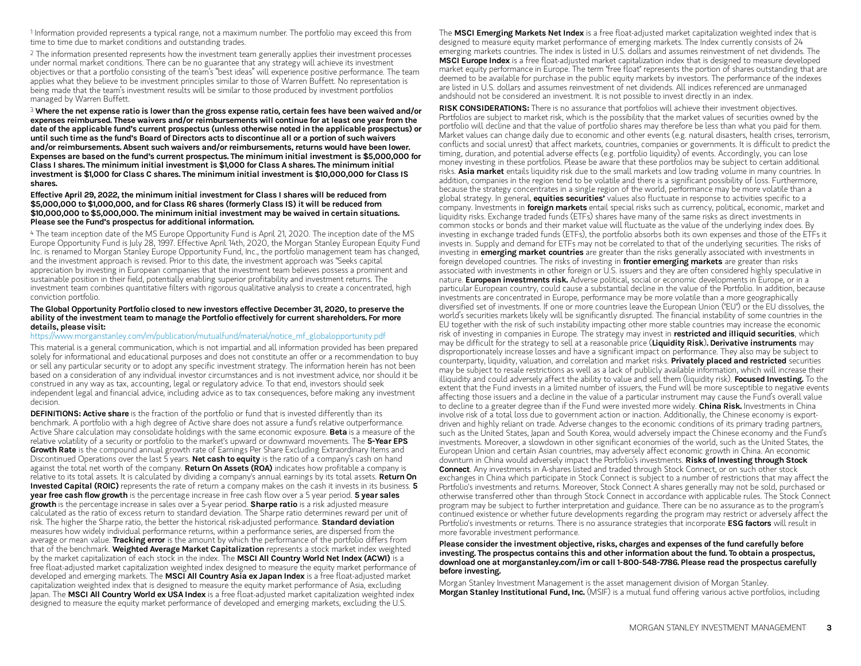$^{\rm 1}$  Information provided represents a typical range, not a maximum number. The portfolio may exceed this from time to time due to market conditions and outstanding trades.

 $^2$  The information presented represents how the investment team generally applies their investment processes  $\,$ under normal market conditions. There can be no guarantee that any strategy will achieve its investment objectives or that a portfolio consisting of the team's "best ideas" will experience positive performance. The team applies what they believe to be investment principles similar to those of Warren Buffett. No representation is being made that the team's investment results will be similar to those produced by investment portfolios managed by Warren Buffett.

 $^{\text{\tiny{\textup{3}}}}$  Where the net expense ratio is lower than the gross expense ratio, certain fees have been waived and/or expenses reimbursed. These waivers and/or reimbursements will continue for at least one year from the date ofthe applicable fund's current prospectus (unless otherwise noted in the applicable prospectus) or until such time as the fund's Board of Directors acts to discontinue all or a portion of such waivers and/or reimbursements. Absent such waivers and/or reimbursements, returns would have been lower. Expenses are based on the fund's current prospectus. The minimum initial investment is \$5,000,000 for Class I shares. The minimum initial investment is \$1,000 for Class A shares. The minimum initial investment is \$1,000 for Class C shares. The minimum initial investment is \$10,000,000 for Class IS shares.

#### Effective April 29, 2022, the minimum initial investment for Class I shares will be reduced from \$5,000,000 to \$1,000,000, and for Class R6 shares (formerly Class IS) it will be reduced from \$10,000,000 to \$5,000,000. The minimum initial investment may be waived in certain situations. Please see the Fund's prospectus for additional information.

 $^4$  The team inception date of the MS Europe Opportunity Fund is April 21, 2020. The inception date of the MS  $\,$ Europe Opportunity Fund is July 28, 1997. Effective April 14th, 2020, the Morgan Stanley European Equity Fund Inc. is renamed to Morgan Stanley Europe Opportunity Fund, Inc., the portfolio management team has changed, and the investment approach is revised. Prior to this date, the investment approach was "Seeks capital appreciation by investing in European companies that the investment team believes possess a prominent and sustainable position in their field, potentially enabling superior profitability and investment returns. The investment team combines quantitative filters with rigorous qualitative analysis to create a concentrated, high conviction portfolio.

#### The Global Opportunity Portfolio closed to new investors effective December 31, 2020, to preserve the ability ofthe investment team to manage the Portfolio effectively for current shareholders. For more details, please visit:

### [https://www.morganstanley.com/im/publication/mutualfund/material/notice\\_mf\\_globalopportunity.pdf](https://www.morganstanley.com/im/publication/mutualfund/material/notice_mf_globalopportunity.pdf)

This material is a general communication, which is not impartial and all information provided has been prepared solely for informational and educational purposes and does not constitute an offer or a recommendation to buy or sell any particular security or to adopt any specific investment strategy. The information herein has not been based on a consideration of any individual investor circumstances and is not investment advice, nor should it be construed in any way as tax, accounting, legal or regulatory advice. To that end, investors should seek independent legal and financial advice, including advice as to tax consequences, before making any investment decision.

DEFINITIONS: Active share is the fraction of the portfolio or fund that is invested differently than its benchmark. A portfolio with a high degree of Active share does not assure a fund's relative outperformance. Active Share calculation may consolidate holdings with the same economic exposure. **Beta** is a measure of the relative volatility of a security or portfolio to the market's upward or downward movements. The 5-Year EPS Growth Rate is the compound annual growth rate of Earnings Per Share Excluding Extraordinary Items and Discontinued Operations over the last  $\bar{5}$  years. Net cash to equity is the ratio of a company's cash on hand against the total net worth of the company. Return On Assets (ROA) indicates how profitable a company is relative to its total assets. It is calculated by dividing a company's annual earnings by its total assets. Return On Invested Capital (ROIC) represents the rate of return a company makes on the cash it invests in its business. 5 year free cash flow growth is the percentage increase in free cash flow over a 5 year period. 5 year sales growth is the percentage increase in sales over a 5-year period. Sharpe ratio is a risk adjusted measure calculated as the ratio of excess return to standard deviation. The Sharpe ratio determines reward per unit of risk. The higher the Sharpe ratio, the better the historical risk-adjusted performance. Standard deviation measures how widely individual performance returns, within a performance series, are dispersed from the average or mean value. Tracking error is the amount by which the performance of the portfolio differs from that of the benchmark. Weighted Average Market Capitalization represents a stock market index weighted by the market capitalization of each stock in the index. The MSCI All Country World Net Index (ACWI) is a free float-adjusted market capitalization weighted index designed to measure the equity market performance of developed and emerging markets. The MSCI All Country Asia ex Japan Index is a free float-adjusted market capitalization weighted index that is designed to measure the equity market performance of Asia, excluding Japan. The MSCI All Country World ex USA Index is a free float-adjusted market capitalization weighted index designed to measure the equity market performance of developed and emerging markets, excluding the U.S.

The MSCI Emerging Markets Net Index is a free float-adjusted market capitalization weighted index that is designed to measure equity market performance of emerging markets. The Index currently consists of 24 emerging markets countries. The index is listed in U.S. dollars and assumes reinvestment of net dividends. The MSCI Europe Index is a free float-adjusted market capitalization index that is designed to measure developed market equity performance in Europe. The term "free float" represents the portion of shares outstanding that are deemed to be available for purchase in the public equity markets by investors. The performance of the indexes are listed in U.S. dollars and assumes reinvestment of net dividends. All indices referenced are unmanaged andshould not be considered an investment. It is not possible to invest directly in an index.

RISK CONSIDERATIONS: There is no assurance that portfolios will achieve their investment objectives. Portfolios are subject to market risk, which is the possibility that the market values of securities owned by the portfolio will decline and that the value of portfolio shares may therefore be less than what you paid for them. Market values can change daily due to economic and other events (e.g. natural disasters, health crises, terrorism, conflicts and social unrest) that affect markets, countries, companies or governments. It is difficult to predict the timing, duration, and potential adverse effects (e.g. portfolio liquidity) of events. Accordingly, you can lose money investing in these portfolios. Please be aware that these portfolios may be subject to certain additional risks. Asia market entails liquidity risk due to the small markets and low trading volume in many countries. In addition, companies in the region tend to be volatile and there is a significant possibility of loss. Furthermore, because the strategy concentrates in a single region of the world, performance may be more volatile than a global strategy. In general, equities securities' values also fluctuate in response to activities specific to a company. Investments in **foreign markets** entail special risks such as currency, political, economic, market and liquidity risks. Exchange traded funds (ETFs) shares have many of the same risks as direct investments in common stocks or bonds and their market value will fluctuate as the value of the underlying index does. By investing in exchange traded funds (ETFs), the portfolio absorbs both its own expenses and those of the ETFs it invests in. Supply and demand for ETFs may not be correlated to that of the underlying securities. The risks of investing in **emerging market countries** are greater than the risks generally associated with investments in foreign developed countries. The risks of investing in **frontier emerging markets** are greater than risks associated with investments in other foreign or U.S. issuers and they are often considered highly speculative in nature. **European investments risk.** Adverse political, social or economic developments in Europe, or in a particular European country, could cause a substantial decline in the value of the Portfolio. In addition, because investments are concentrated in Europe, performance may be more volatile than a more geographically diversified set of investments. If one or more countries leave the European Union ("EU") or the EU dissolves, the world's securities markets likely will be significantly disrupted. The financial instability of some countries in the EU together with the risk of such instability impacting other more stable countries may increase the economic risk of investing in companies in Europe. The strategy may invest in restricted and illiquid securities, which may be difficult for the strategy to sell at a reasonable price (Liquidity Risk). Derivative instruments may disproportionately increase losses and have a significant impact on performance. They also may be subject to counterparty, liquidity, valuation, and correlation and market risks. Privately placed and restricted securities may be subject to resale restrictions as well as a lack of publicly available information, which will increase their illiquidity and could adversely affect the ability to value and sell them (liquidity risk). Focused Investing. To the extent that the Fund invests in a limited number of issuers, the Fund will be more susceptible to negative events affecting those issuers and a decline in the value of a particular instrument may cause the Fund's overall value to decline to a greater degree than if the Fund were invested more widely. **China Risk.** Investments in China involve risk of a total loss due to government action or inaction. Additionally, the Chinese economy is exportdriven and highly reliant on trade. Adverse changes to the economic conditions of its primary trading partners, such as the United States, Japan and South Korea, would adversely impact the Chinese economy and the Fund's investments. Moreover, a slowdown in other significant economies of the world, such as the United States, the European Union and certain Asian countries, may adversely affect economic growth in China. An economic downturn in China would adversely impact the Portfolio's investments. Risks of Investing through Stock **Connect**. Any investments in A-shares listed and traded through Stock Connect, or on such other stock exchanges in China which participate in Stock Connect is subject to a number of restrictions that may affect the Portfolio's investments and returns. Moreover, Stock Connect A shares generally may not be sold, purchased or otherwise transferred other than through Stock Connect in accordance with applicable rules. The Stock Connect program may be subject to further interpretation and guidance. There can be no assurance as to the program's continued existence or whether future developments regarding the program may restrict or adversely affect the Portfolio's investments or returns. There is no assurance strategies that incorporate ESG factors will result in more favorable investment performance.

#### Please consider the investment objective, risks, charges and expenses ofthe fund carefully before investing. The prospectus contains this and other information about the fund. To obtain a prospectus, download one at morganstanley.com/im or call 1-800-548-7786. Please read the prospectus carefully before investing.

Morgan Stanley Investment Management is the asset management division of Morgan Stanley. **Morgan Stanley Institutional Fund, Inc.** (MSIF) is a mutual fund offering various active portfolios, including